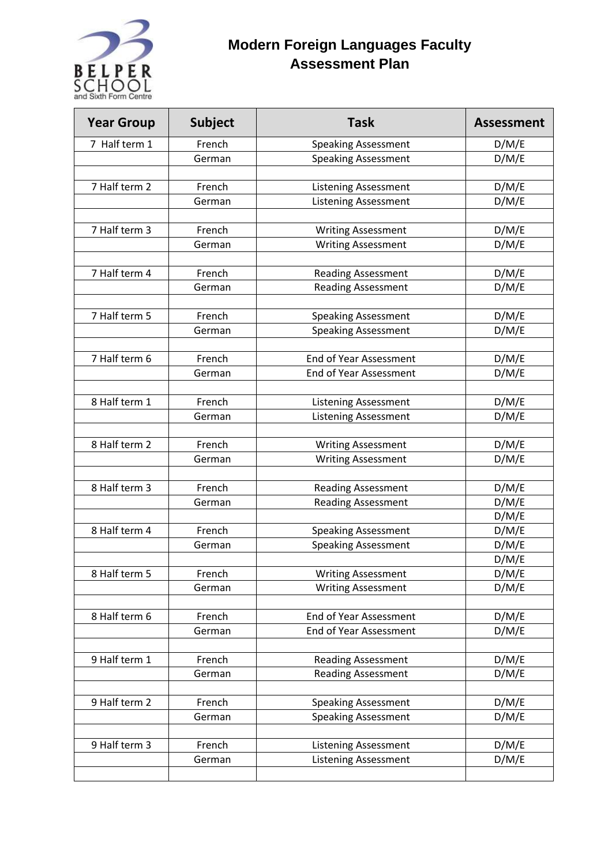

## **Modern Foreign Languages Faculty Assessment Plan**

| <b>Year Group</b> | <b>Subject</b> | <b>Task</b>                                                | <b>Assessment</b> |
|-------------------|----------------|------------------------------------------------------------|-------------------|
| 7 Half term 1     | French         | <b>Speaking Assessment</b>                                 | D/M/E             |
|                   | German         | <b>Speaking Assessment</b>                                 | D/M/E             |
|                   |                |                                                            |                   |
| 7 Half term 2     | French         | <b>Listening Assessment</b>                                | D/M/E             |
|                   | German         | <b>Listening Assessment</b>                                | D/M/E             |
|                   |                |                                                            |                   |
| 7 Half term 3     | French         | <b>Writing Assessment</b>                                  | D/M/E             |
|                   | German         | <b>Writing Assessment</b>                                  | D/M/E             |
|                   |                |                                                            |                   |
| 7 Half term 4     | French         | <b>Reading Assessment</b>                                  | D/M/E             |
|                   | German         | <b>Reading Assessment</b>                                  | D/M/E             |
|                   |                |                                                            |                   |
| 7 Half term 5     | French         | <b>Speaking Assessment</b>                                 | D/M/E             |
|                   | German         | <b>Speaking Assessment</b>                                 | D/M/E             |
| 7 Half term 6     | French         |                                                            |                   |
|                   |                | <b>End of Year Assessment</b>                              | D/M/E             |
|                   | German         | End of Year Assessment                                     | D/M/E             |
| 8 Half term 1     | French         | <b>Listening Assessment</b>                                | D/M/E             |
|                   | German         | <b>Listening Assessment</b>                                | D/M/E             |
|                   |                |                                                            |                   |
| 8 Half term 2     | French         | <b>Writing Assessment</b>                                  | D/M/E             |
|                   | German         | <b>Writing Assessment</b>                                  | D/M/E             |
|                   |                |                                                            |                   |
| 8 Half term 3     | French         | <b>Reading Assessment</b>                                  | D/M/E             |
|                   | German         | <b>Reading Assessment</b>                                  | D/M/E             |
|                   |                |                                                            | D/M/E             |
| 8 Half term 4     | French         | <b>Speaking Assessment</b>                                 | D/M/E             |
|                   | German         | <b>Speaking Assessment</b>                                 | D/M/E             |
|                   |                |                                                            | D/M/E             |
| 8 Half term 5     | French         | <b>Writing Assessment</b>                                  | D/M/E             |
|                   | German         | <b>Writing Assessment</b>                                  | D/M/E             |
|                   |                |                                                            |                   |
| 8 Half term 6     | French         | End of Year Assessment                                     | D/M/E             |
|                   | German         | End of Year Assessment                                     | D/M/E             |
|                   |                |                                                            |                   |
| 9 Half term 1     | French         | <b>Reading Assessment</b>                                  | D/M/E             |
|                   | German         | <b>Reading Assessment</b>                                  | D/M/E             |
|                   |                |                                                            |                   |
| 9 Half term 2     | French         | <b>Speaking Assessment</b>                                 | D/M/E             |
|                   | German         | <b>Speaking Assessment</b>                                 | D/M/E             |
| 9 Half term 3     | French         |                                                            |                   |
|                   | German         | <b>Listening Assessment</b><br><b>Listening Assessment</b> | D/M/E<br>D/M/E    |
|                   |                |                                                            |                   |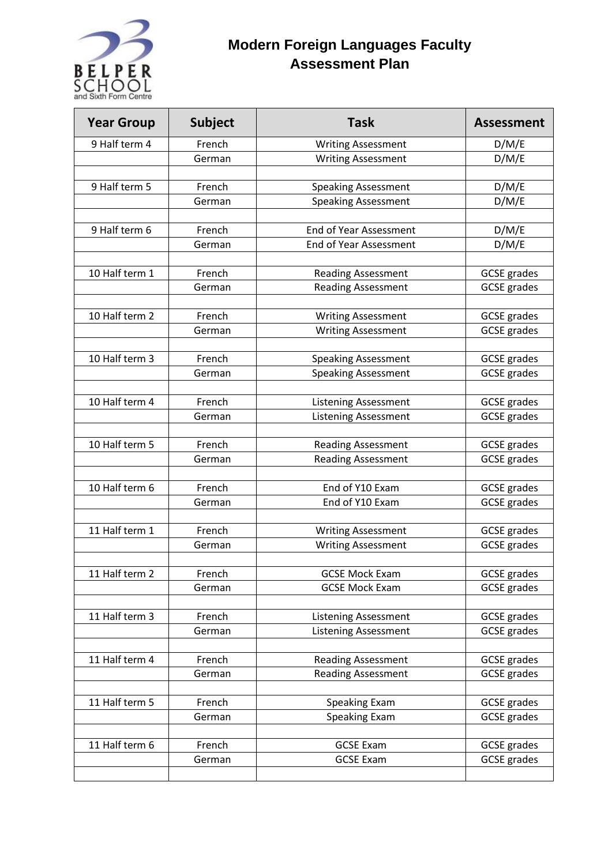

## **Modern Foreign Languages Faculty Assessment Plan**

| <b>Year Group</b> | <b>Subject</b> | <b>Task</b>                   | <b>Assessment</b>  |
|-------------------|----------------|-------------------------------|--------------------|
| 9 Half term 4     | French         | <b>Writing Assessment</b>     | D/M/E              |
|                   | German         | <b>Writing Assessment</b>     | D/M/E              |
|                   |                |                               |                    |
| 9 Half term 5     | French         | <b>Speaking Assessment</b>    | D/M/E              |
|                   | German         | <b>Speaking Assessment</b>    | D/M/E              |
|                   |                |                               |                    |
| 9 Half term 6     | French         | <b>End of Year Assessment</b> | D/M/E              |
|                   | German         | <b>End of Year Assessment</b> | D/M/E              |
|                   |                |                               |                    |
| 10 Half term 1    | French         | <b>Reading Assessment</b>     | <b>GCSE</b> grades |
|                   | German         | <b>Reading Assessment</b>     | <b>GCSE</b> grades |
| 10 Half term 2    | French         | <b>Writing Assessment</b>     | <b>GCSE</b> grades |
|                   | German         | <b>Writing Assessment</b>     | <b>GCSE</b> grades |
|                   |                |                               |                    |
| 10 Half term 3    | French         | <b>Speaking Assessment</b>    | <b>GCSE</b> grades |
|                   | German         | <b>Speaking Assessment</b>    | <b>GCSE</b> grades |
|                   |                |                               |                    |
| 10 Half term 4    | French         | <b>Listening Assessment</b>   | <b>GCSE</b> grades |
|                   | German         | <b>Listening Assessment</b>   | <b>GCSE</b> grades |
|                   |                |                               |                    |
| 10 Half term 5    | French         | <b>Reading Assessment</b>     | <b>GCSE</b> grades |
|                   | German         | <b>Reading Assessment</b>     | <b>GCSE</b> grades |
|                   |                |                               |                    |
| 10 Half term 6    | French         | End of Y10 Exam               | <b>GCSE</b> grades |
|                   | German         | End of Y10 Exam               | <b>GCSE</b> grades |
|                   |                |                               |                    |
| 11 Half term 1    | French         | <b>Writing Assessment</b>     | <b>GCSE</b> grades |
|                   | German         | <b>Writing Assessment</b>     | <b>GCSE</b> grades |
| 11 Half term 2    | French         | <b>GCSE Mock Exam</b>         | <b>GCSE</b> grades |
|                   | German         | <b>GCSE Mock Exam</b>         | <b>GCSE</b> grades |
|                   |                |                               |                    |
| 11 Half term 3    | French         | <b>Listening Assessment</b>   | <b>GCSE</b> grades |
|                   | German         | <b>Listening Assessment</b>   | <b>GCSE</b> grades |
|                   |                |                               |                    |
| 11 Half term 4    | French         | <b>Reading Assessment</b>     | <b>GCSE</b> grades |
|                   | German         | <b>Reading Assessment</b>     | <b>GCSE</b> grades |
|                   |                |                               |                    |
| 11 Half term 5    | French         | Speaking Exam                 | <b>GCSE</b> grades |
|                   | German         | <b>Speaking Exam</b>          | <b>GCSE</b> grades |
|                   |                |                               |                    |
| 11 Half term 6    | French         | <b>GCSE Exam</b>              | <b>GCSE</b> grades |
|                   | German         | <b>GCSE Exam</b>              | <b>GCSE</b> grades |
|                   |                |                               |                    |